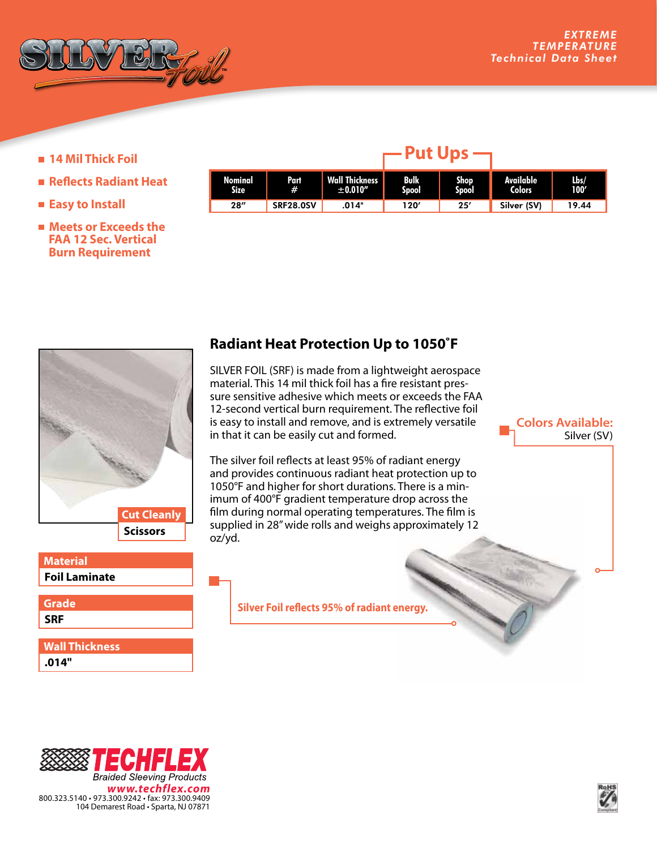

**Colors Available:**

Silver (SV)

- **14 Mil Thick Foil**
- **Reflects Radiant Heat**
- **Easy to Install**
- **Meets or Exceeds the FAA 12 Sec. Vertical Burn Requirement**

| Nominal<br><b>Size</b> | Part<br>#        | <b>Wall Thickness</b><br>± 0.010'' | <b>Bulk</b><br>Spool | Shop<br>Spool | <b>Available</b><br><b>Colors</b> | Lbs/<br>100' |
|------------------------|------------------|------------------------------------|----------------------|---------------|-----------------------------------|--------------|
| 28''                   | <b>SRF28.0SV</b> | .014"                              | 120'                 | 25'           | Silver (SV)                       | 19.44        |

 $-$ Put Ups $-$ 



## **Foil Laminate Material**

**SRF Grade**

**.014" Wall Thickness**

## **Radiant Heat Protection Up to 1050˚F**

SILVER FOIL (SRF) is made from a lightweight aerospace material. This 14 mil thick foil has a fire resistant pressure sensitive adhesive which meets or exceeds the FAA 12-second vertical burn requirement. The reflective foil is easy to install and remove, and is extremely versatile in that it can be easily cut and formed.

The silver foil reflects at least 95% of radiant energy and provides continuous radiant heat protection up to 1050°F and higher for short durations. There is a minimum of 400°F gradient temperature drop across the film during normal operating temperatures. The film is supplied in 28" wide rolls and weighs approximately 12 oz/yd.

**Silver Foil reflects 95% of radiant energy.**